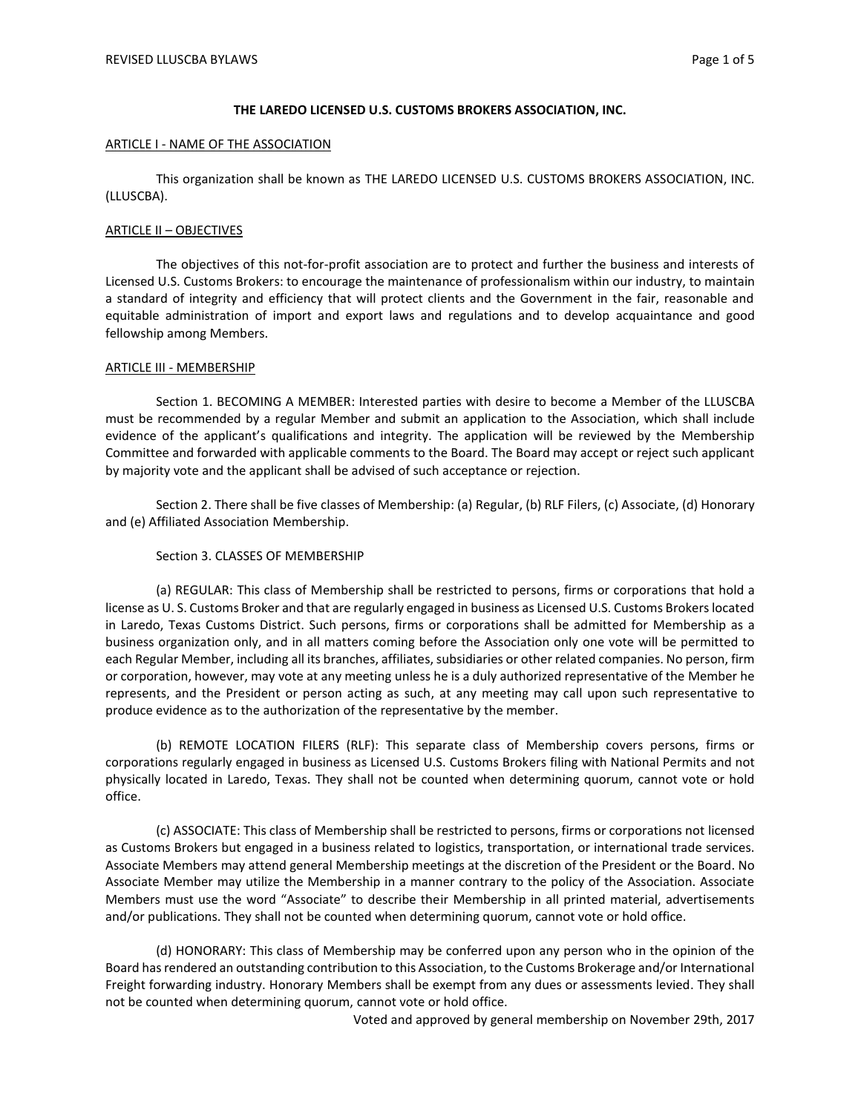# **THE LAREDO LICENSED U.S. CUSTOMS BROKERS ASSOCIATION, INC.**

## ARTICLE I - NAME OF THE ASSOCIATION

This organization shall be known as THE LAREDO LICENSED U.S. CUSTOMS BROKERS ASSOCIATION, INC. (LLUSCBA).

# ARTICLE II – OBJECTIVES

The objectives of this not-for-profit association are to protect and further the business and interests of Licensed U.S. Customs Brokers: to encourage the maintenance of professionalism within our industry, to maintain a standard of integrity and efficiency that will protect clients and the Government in the fair, reasonable and equitable administration of import and export laws and regulations and to develop acquaintance and good fellowship among Members.

## ARTICLE III - MEMBERSHIP

Section 1. BECOMING A MEMBER: Interested parties with desire to become a Member of the LLUSCBA must be recommended by a regular Member and submit an application to the Association, which shall include evidence of the applicant's qualifications and integrity. The application will be reviewed by the Membership Committee and forwarded with applicable comments to the Board. The Board may accept or reject such applicant by majority vote and the applicant shall be advised of such acceptance or rejection.

Section 2. There shall be five classes of Membership: (a) Regular, (b) RLF Filers, (c) Associate, (d) Honorary and (e) Affiliated Association Membership.

## Section 3. CLASSES OF MEMBERSHIP

(a) REGULAR: This class of Membership shall be restricted to persons, firms or corporations that hold a license as U. S. Customs Broker and that are regularly engaged in business as Licensed U.S. Customs Brokers located in Laredo, Texas Customs District. Such persons, firms or corporations shall be admitted for Membership as a business organization only, and in all matters coming before the Association only one vote will be permitted to each Regular Member, including all its branches, affiliates, subsidiaries or other related companies. No person, firm or corporation, however, may vote at any meeting unless he is a duly authorized representative of the Member he represents, and the President or person acting as such, at any meeting may call upon such representative to produce evidence as to the authorization of the representative by the member.

(b) REMOTE LOCATION FILERS (RLF): This separate class of Membership covers persons, firms or corporations regularly engaged in business as Licensed U.S. Customs Brokers filing with National Permits and not physically located in Laredo, Texas. They shall not be counted when determining quorum, cannot vote or hold office.

(c) ASSOCIATE: This class of Membership shall be restricted to persons, firms or corporations not licensed as Customs Brokers but engaged in a business related to logistics, transportation, or international trade services. Associate Members may attend general Membership meetings at the discretion of the President or the Board. No Associate Member may utilize the Membership in a manner contrary to the policy of the Association. Associate Members must use the word "Associate" to describe their Membership in all printed material, advertisements and/or publications. They shall not be counted when determining quorum, cannot vote or hold office.

(d) HONORARY: This class of Membership may be conferred upon any person who in the opinion of the Board has rendered an outstanding contribution to this Association, to the Customs Brokerage and/or International Freight forwarding industry. Honorary Members shall be exempt from any dues or assessments levied. They shall not be counted when determining quorum, cannot vote or hold office.

Voted and approved by general membership on November 29th, 2017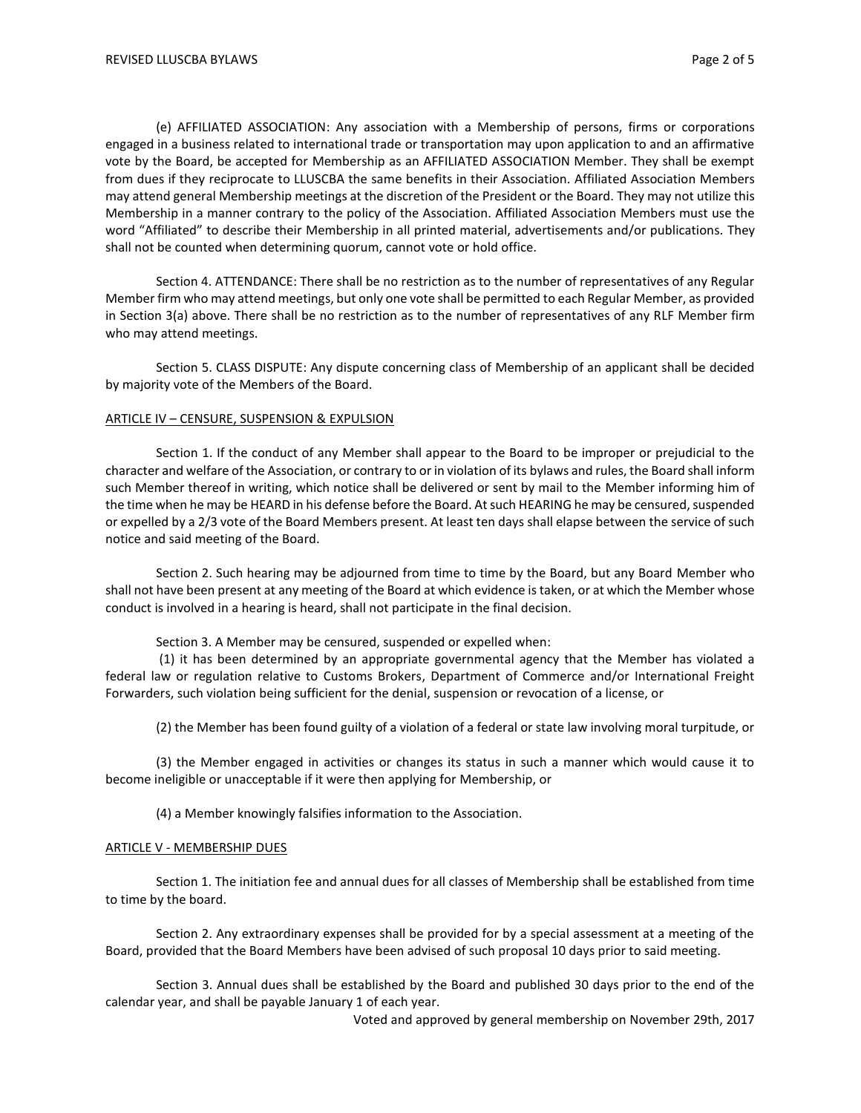(e) AFFILIATED ASSOCIATION: Any association with a Membership of persons, firms or corporations engaged in a business related to international trade or transportation may upon application to and an affirmative vote by the Board, be accepted for Membership as an AFFILIATED ASSOCIATION Member. They shall be exempt from dues if they reciprocate to LLUSCBA the same benefits in their Association. Affiliated Association Members may attend general Membership meetings at the discretion of the President or the Board. They may not utilize this Membership in a manner contrary to the policy of the Association. Affiliated Association Members must use the word "Affiliated" to describe their Membership in all printed material, advertisements and/or publications. They shall not be counted when determining quorum, cannot vote or hold office.

Section 4. ATTENDANCE: There shall be no restriction as to the number of representatives of any Regular Member firm who may attend meetings, but only one vote shall be permitted to each Regular Member, as provided in Section 3(a) above. There shall be no restriction as to the number of representatives of any RLF Member firm who may attend meetings.

Section 5. CLASS DISPUTE: Any dispute concerning class of Membership of an applicant shall be decided by majority vote of the Members of the Board.

### ARTICLE IV – CENSURE, SUSPENSION & EXPULSION

Section 1. If the conduct of any Member shall appear to the Board to be improper or prejudicial to the character and welfare of the Association, or contrary to or in violation of its bylaws and rules, the Board shall inform such Member thereof in writing, which notice shall be delivered or sent by mail to the Member informing him of the time when he may be HEARD in his defense before the Board. At such HEARING he may be censured, suspended or expelled by a 2/3 vote of the Board Members present. At least ten days shall elapse between the service of such notice and said meeting of the Board.

Section 2. Such hearing may be adjourned from time to time by the Board, but any Board Member who shall not have been present at any meeting of the Board at which evidence is taken, or at which the Member whose conduct is involved in a hearing is heard, shall not participate in the final decision.

Section 3. A Member may be censured, suspended or expelled when:

(1) it has been determined by an appropriate governmental agency that the Member has violated a federal law or regulation relative to Customs Brokers, Department of Commerce and/or International Freight Forwarders, such violation being sufficient for the denial, suspension or revocation of a license, or

(2) the Member has been found guilty of a violation of a federal or state law involving moral turpitude, or

(3) the Member engaged in activities or changes its status in such a manner which would cause it to become ineligible or unacceptable if it were then applying for Membership, or

(4) a Member knowingly falsifies information to the Association.

#### ARTICLE V - MEMBERSHIP DUES

Section 1. The initiation fee and annual dues for all classes of Membership shall be established from time to time by the board.

Section 2. Any extraordinary expenses shall be provided for by a special assessment at a meeting of the Board, provided that the Board Members have been advised of such proposal 10 days prior to said meeting.

Section 3. Annual dues shall be established by the Board and published 30 days prior to the end of the calendar year, and shall be payable January 1 of each year.

Voted and approved by general membership on November 29th, 2017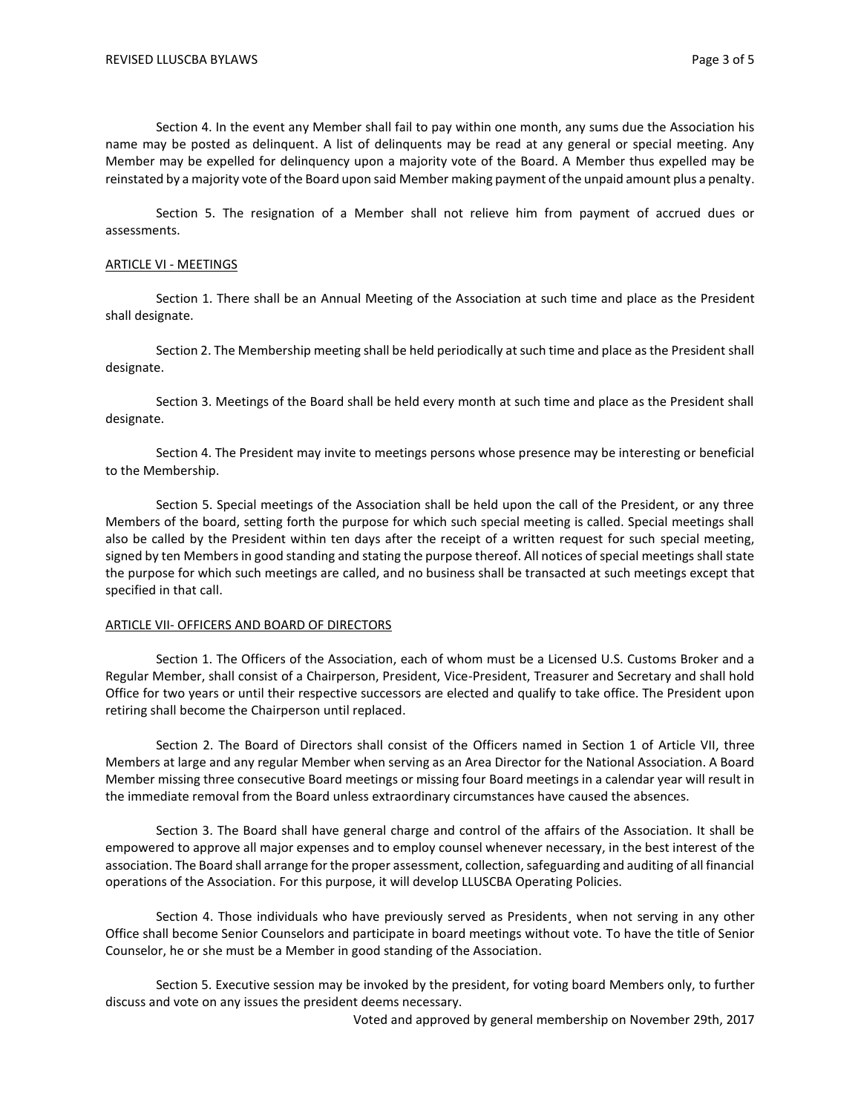Section 4. In the event any Member shall fail to pay within one month, any sums due the Association his name may be posted as delinquent. A list of delinquents may be read at any general or special meeting. Any Member may be expelled for delinquency upon a majority vote of the Board. A Member thus expelled may be reinstated by a majority vote of the Board upon said Member making payment of the unpaid amount plus a penalty.

Section 5. The resignation of a Member shall not relieve him from payment of accrued dues or assessments.

### ARTICLE VI - MEETINGS

Section 1. There shall be an Annual Meeting of the Association at such time and place as the President shall designate.

Section 2. The Membership meeting shall be held periodically at such time and place as the President shall designate.

Section 3. Meetings of the Board shall be held every month at such time and place as the President shall designate.

Section 4. The President may invite to meetings persons whose presence may be interesting or beneficial to the Membership.

Section 5. Special meetings of the Association shall be held upon the call of the President, or any three Members of the board, setting forth the purpose for which such special meeting is called. Special meetings shall also be called by the President within ten days after the receipt of a written request for such special meeting, signed by ten Members in good standing and stating the purpose thereof. All notices of special meetings shall state the purpose for which such meetings are called, and no business shall be transacted at such meetings except that specified in that call.

# ARTICLE VII- OFFICERS AND BOARD OF DIRECTORS

Section 1. The Officers of the Association, each of whom must be a Licensed U.S. Customs Broker and a Regular Member, shall consist of a Chairperson, President, Vice-President, Treasurer and Secretary and shall hold Office for two years or until their respective successors are elected and qualify to take office. The President upon retiring shall become the Chairperson until replaced.

Section 2. The Board of Directors shall consist of the Officers named in Section 1 of Article VII, three Members at large and any regular Member when serving as an Area Director for the National Association. A Board Member missing three consecutive Board meetings or missing four Board meetings in a calendar year will result in the immediate removal from the Board unless extraordinary circumstances have caused the absences.

Section 3. The Board shall have general charge and control of the affairs of the Association. It shall be empowered to approve all major expenses and to employ counsel whenever necessary, in the best interest of the association. The Board shall arrange for the proper assessment, collection, safeguarding and auditing of all financial operations of the Association. For this purpose, it will develop LLUSCBA Operating Policies.

Section 4. Those individuals who have previously served as Presidents, when not serving in any other Office shall become Senior Counselors and participate in board meetings without vote. To have the title of Senior Counselor, he or she must be a Member in good standing of the Association.

Section 5. Executive session may be invoked by the president, for voting board Members only, to further discuss and vote on any issues the president deems necessary.

Voted and approved by general membership on November 29th, 2017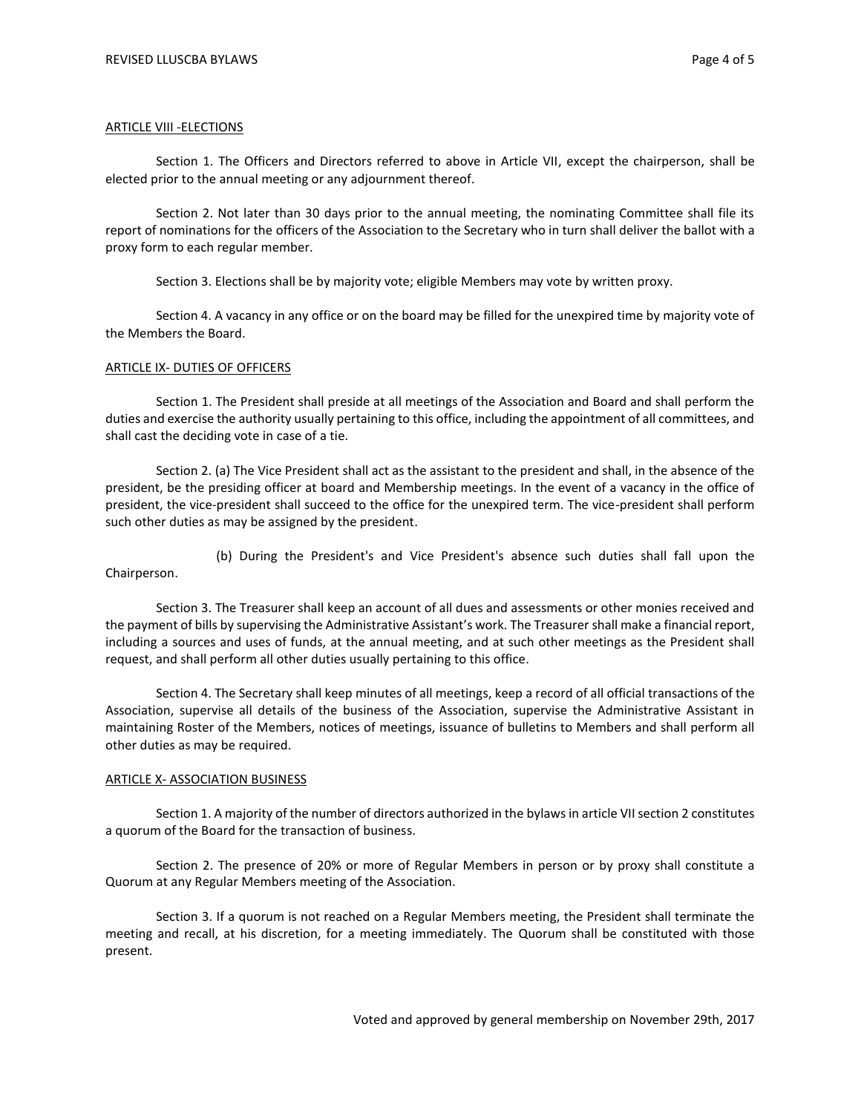### ARTICLE VIII -ELECTIONS

Section 1. The Officers and Directors referred to above in Article VII, except the chairperson, shall be elected prior to the annual meeting or any adjournment thereof.

Section 2. Not later than 30 days prior to the annual meeting, the nominating Committee shall file its report of nominations for the officers of the Association to the Secretary who in turn shall deliver the ballot with a proxy form to each regular member.

Section 3. Elections shall be by majority vote; eligible Members may vote by written proxy.

Section 4. A vacancy in any office or on the board may be filled for the unexpired time by majority vote of the Members the Board.

### ARTICLE IX- DUTIES OF OFFICERS

Section 1. The President shall preside at all meetings of the Association and Board and shall perform the duties and exercise the authority usually pertaining to this office, including the appointment of all committees, and shall cast the deciding vote in case of a tie.

Section 2. (a) The Vice President shall act as the assistant to the president and shall, in the absence of the president, be the presiding officer at board and Membership meetings. In the event of a vacancy in the office of president, the vice-president shall succeed to the office for the unexpired term. The vice-president shall perform such other duties as may be assigned by the president.

 (b) During the President's and Vice President's absence such duties shall fall upon the Chairperson.

Section 3. The Treasurer shall keep an account of all dues and assessments or other monies received and the payment of bills by supervising the Administrative Assistant's work. The Treasurer shall make a financial report, including a sources and uses of funds, at the annual meeting, and at such other meetings as the President shall request, and shall perform all other duties usually pertaining to this office.

Section 4. The Secretary shall keep minutes of all meetings, keep a record of all official transactions of the Association, supervise all details of the business of the Association, supervise the Administrative Assistant in maintaining Roster of the Members, notices of meetings, issuance of bulletins to Members and shall perform all other duties as may be required.

#### ARTICLE X- ASSOCIATION BUSINESS

Section 1. A majority of the number of directors authorized in the bylawsin article VII section 2 constitutes a quorum of the Board for the transaction of business.

Section 2. The presence of 20% or more of Regular Members in person or by proxy shall constitute a Quorum at any Regular Members meeting of the Association.

Section 3. If a quorum is not reached on a Regular Members meeting, the President shall terminate the meeting and recall, at his discretion, for a meeting immediately. The Quorum shall be constituted with those present.